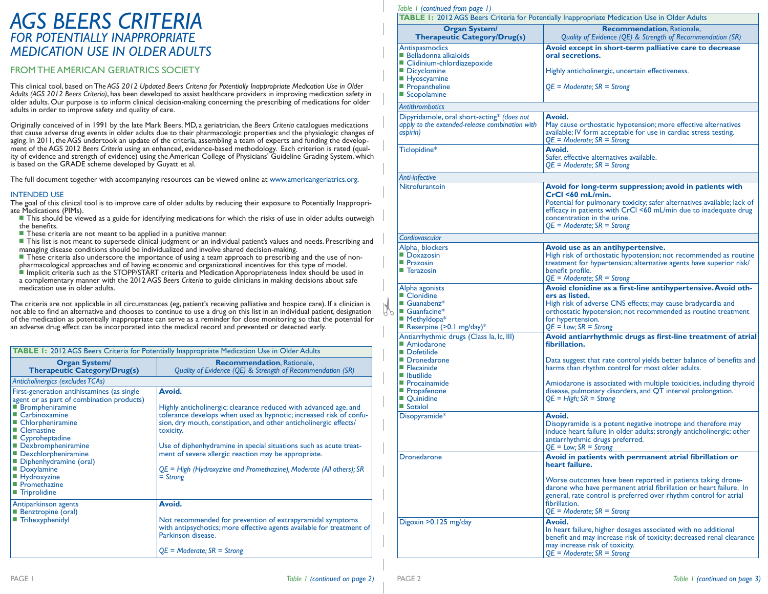# *AGS BEERS CRITERIA FOR POTENTIALLY INAPPROPRIATE MEDICATION USE IN OLDER ADULTS*

## FROM THE AMERICAN GERIATRICS SOCIETY

This clinical tool, based on T*he AGS 2012 Updated Beers Criteria for Potentially Inappropriate Medication Use in Older Adults (AGS 2012 Beers Criteria)*, has been developed to assist healthcare providers in improving medication safety in older adults. Our purpose is to inform clinical decision-making concerning the prescribing of medications for older adults in order to improve safety and quality of care.

Originally conceived of in 1991 by the late Mark Beers, MD, a geriatrician, the *Beers Criteria* catalogues medications that cause adverse drug events in older adults due to their pharmacologic properties and the physiologic changes of aging. In 2011, the AGS undertook an update of the criteria, assembling a team of experts and funding the development of the AGS 2012 *Beers Criteria* using an enhanced, evidence-based methodology. Each criterion is rated (quality of evidence and strength of evidence) using the American College of Physicians' Guideline Grading System, which is based on the GRADE scheme developed by Guyatt et al.

The full document together with accompanying resources can be viewed online at www.americangeriatrics.org.

#### INTENDED USE

The goal of this clinical tool is to improve care of older adults by reducing their exposure to Potentially Inappropriate Medications (PIMs).

This should be viewed as a guide for identifying medications for which the risks of use in older adults outweigh the benefits.

- These criteria are not meant to be applied in a punitive manner.
- This list is not meant to supersede clinical judgment or an individual patient's values and needs. Prescribing and managing disease conditions should be individualized and involve shared decision-making.
- These criteria also underscore the importance of using a team approach to prescribing and the use of nonpharmacological approaches and of having economic and organizational incentives for this type of model.
- **n** Implicit criteria such as the STOPP/START criteria and Medication Appropriateness Index should be used in a complementary manner with the 2012 AGS *Beers Criteria* to guide clinicians in making decisions about safe medication use in older adults.

The criteria are not applicable in all circumstances (eg, patient's receiving palliative and hospice care). If a clinician is not able to find an alternative and chooses to continue to use a drug on this list in an individual patient, designation of the medication as potentially inappropriate can serve as a reminder for close monitoring so that the potential for an adverse drug effect can be incorporated into the medical record and prevented or detected early.

### **TABLE 1:** 2012 AGS Beers Criteria for Potentially Inappropriate Medication Use in Older Adults

| <b>Organ System/</b><br><b>Therapeutic Category/Drug(s)</b>                                                                                                                                                                                                                                                                                                                                                                                               | <b>Recommendation, Rationale,</b><br>Quality of Evidence (QE) & Strength of Recommendation (SR)                                                                                                                                                                                                                                                                                                                                                        |  |  |
|-----------------------------------------------------------------------------------------------------------------------------------------------------------------------------------------------------------------------------------------------------------------------------------------------------------------------------------------------------------------------------------------------------------------------------------------------------------|--------------------------------------------------------------------------------------------------------------------------------------------------------------------------------------------------------------------------------------------------------------------------------------------------------------------------------------------------------------------------------------------------------------------------------------------------------|--|--|
| Anticholinergics (excludes TCAs)                                                                                                                                                                                                                                                                                                                                                                                                                          |                                                                                                                                                                                                                                                                                                                                                                                                                                                        |  |  |
| First-generation antihistamines (as single<br>agent or as part of combination products)<br><b>Brompheniramine</b><br>$\blacksquare$ Carbinoxamine<br>$\blacksquare$ Chlorpheniramine<br>$\blacksquare$ Clemastine<br>$\blacksquare$ Cyproheptadine<br>Dexbrompheniramine<br>$\blacksquare$ Dexchlorpheniramine<br>$\blacksquare$ Diphenhydramine (oral)<br>Doxylamine<br><b>Hydroxyzine</b><br>$\blacksquare$ Promethazine<br>$\blacksquare$ Triprolidine | Avoid.<br>Highly anticholinergic; clearance reduced with advanced age, and<br>tolerance develops when used as hypnotic; increased risk of confu-<br>sion, dry mouth, constipation, and other anticholinergic effects/<br>toxicity.<br>Use of diphenhydramine in special situations such as acute treat-<br>ment of severe allergic reaction may be appropriate.<br>$QE = High$ (Hydroxyzine and Promethazine), Moderate (All others); SR<br>$=$ Strong |  |  |
| Antiparkinson agents<br>Benztropine (oral)<br>Trihexyphenidyl                                                                                                                                                                                                                                                                                                                                                                                             | Avoid.<br>Not recommended for prevention of extrapyramidal symptoms<br>with antipsychotics; more effective agents available for treatment of<br>Parkinson disease.<br>$QE = Moderate; SR = Strong$                                                                                                                                                                                                                                                     |  |  |

|  | Table I (continued from page I)                                        |  |
|--|------------------------------------------------------------------------|--|
|  | $\mathsf{TAB}$ $\mathsf{E}$ $\mathsf{I}$ + 2012 ACS Reers Criteria for |  |

| <b>TABLE 1:</b> 2012 AGS Beers Criteria for Potentially Inappropriate Medication Use in Older Adults     |                                                                                                                                                                                                                                                                                           |  |  |
|----------------------------------------------------------------------------------------------------------|-------------------------------------------------------------------------------------------------------------------------------------------------------------------------------------------------------------------------------------------------------------------------------------------|--|--|
| <b>Organ System/</b>                                                                                     | <b>Recommendation, Rationale,</b>                                                                                                                                                                                                                                                         |  |  |
| <b>Therapeutic Category/Drug(s)</b>                                                                      | Quality of Evidence (QE) & Strength of Recommendation (SR)                                                                                                                                                                                                                                |  |  |
| Antispasmodics<br>Belladonna alkaloids<br>Clidinium-chlordiazepoxide                                     | Avoid except in short-term palliative care to decrease<br>oral secretions.                                                                                                                                                                                                                |  |  |
| Dicyclomine<br>Hyoscyamine                                                                               | Highly anticholinergic, uncertain effectiveness.                                                                                                                                                                                                                                          |  |  |
| Propantheline<br>■ Scopolamine                                                                           | $QE = Moderate; SR = Strong$                                                                                                                                                                                                                                                              |  |  |
| <b>Antithrombotics</b>                                                                                   |                                                                                                                                                                                                                                                                                           |  |  |
| Dipyridamole, oral short-acting* (does not<br>apply to the extended-release combination with<br>aspirin) | Avoid.<br>May cause orthostatic hypotension; more effective alternatives<br>available; IV form acceptable for use in cardiac stress testing.<br>$QE = Moderate; SR = Strong$                                                                                                              |  |  |
| Ticlopidine*                                                                                             | Avoid.<br>Safer, effective alternatives available.<br>$QE = Moderate; SR = Strong$                                                                                                                                                                                                        |  |  |
| Anti-infective                                                                                           |                                                                                                                                                                                                                                                                                           |  |  |
| Nitrofurantoin                                                                                           | Avoid for long-term suppression; avoid in patients with<br>CrCl <60 mL/min.<br>Potential for pulmonary toxicity; safer alternatives available; lack of<br>efficacy in patients with CrCl <60 mL/min due to inadequate drug<br>concentration in the urine.<br>$QE = Moderate; SR = Strong$ |  |  |
|                                                                                                          |                                                                                                                                                                                                                                                                                           |  |  |
| Cardiovascular                                                                                           |                                                                                                                                                                                                                                                                                           |  |  |
| Alpha, blockers                                                                                          | Avoid use as an antihypertensive.                                                                                                                                                                                                                                                         |  |  |
| Doxazosin<br><b>Prazosin</b>                                                                             | High risk of orthostatic hypotension; not recommended as routine<br>treatment for hypertension; alternative agents have superior risk/                                                                                                                                                    |  |  |
| <b>Terazosin</b>                                                                                         | benefit profile.<br>$QE = Moderate; SR = Strong$                                                                                                                                                                                                                                          |  |  |
| Alpha agonists                                                                                           | Avoid clonidine as a first-line antihypertensive. Avoid oth-                                                                                                                                                                                                                              |  |  |
| ■ Clonidine<br>$\blacksquare$ Guanabenz*                                                                 | ers as listed.                                                                                                                                                                                                                                                                            |  |  |
| $\blacksquare$ Guanfacine*                                                                               | High risk of adverse CNS effects; may cause bradycardia and<br>orthostatic hypotension; not recommended as routine treatment                                                                                                                                                              |  |  |
| Methyldopa*                                                                                              | for hypertension.                                                                                                                                                                                                                                                                         |  |  |
| Reserpine (>0.1 mg/day)*                                                                                 | $QE = Low; SR = Strong$                                                                                                                                                                                                                                                                   |  |  |
| Antiarrhythmic drugs (Class la, lc, III)<br>Amiodarone<br>Dofetilide                                     | Avoid antiarrhythmic drugs as first-line treatment of atrial<br>fibrillation.                                                                                                                                                                                                             |  |  |
| Dronedarone<br>■ Flecainide                                                                              | Data suggest that rate control yields better balance of benefits and<br>harms than rhythm control for most older adults.                                                                                                                                                                  |  |  |
| ■ Ibutilide<br>Procainamide<br>Propafenone<br>Quinidine                                                  | Amiodarone is associated with multiple toxicities, including thyroid<br>disease, pulmonary disorders, and QT interval prolongation.<br>$QE = High$ ; $SR = Strong$                                                                                                                        |  |  |
| ■ Sotalol                                                                                                |                                                                                                                                                                                                                                                                                           |  |  |
| Disopyramide*                                                                                            | Avoid.<br>Disopyramide is a potent negative inotrope and therefore may<br>induce heart failure in older adults; strongly anticholinergic; other<br>antiarrhythmic drugs preferred.<br>$QE = Low; SR = Strong$                                                                             |  |  |
| <b>Dronedarone</b>                                                                                       | Avoid in patients with permanent atrial fibrillation or<br>heart failure.                                                                                                                                                                                                                 |  |  |
|                                                                                                          | Worse outcomes have been reported in patients taking drone-<br>darone who have permanent atrial fibrillation or heart failure. In<br>general, rate control is preferred over rhythm control for atrial<br>fibrillation.<br>$QE = Moderate; SR = Strong$                                   |  |  |
| Digoxin > 0.125 mg/day                                                                                   | Avoid.<br>In heart failure, higher dosages associated with no additional<br>benefit and may increase risk of toxicity; decreased renal clearance<br>may increase risk of toxicity.<br>$QE = Moderate; SR = Strong$                                                                        |  |  |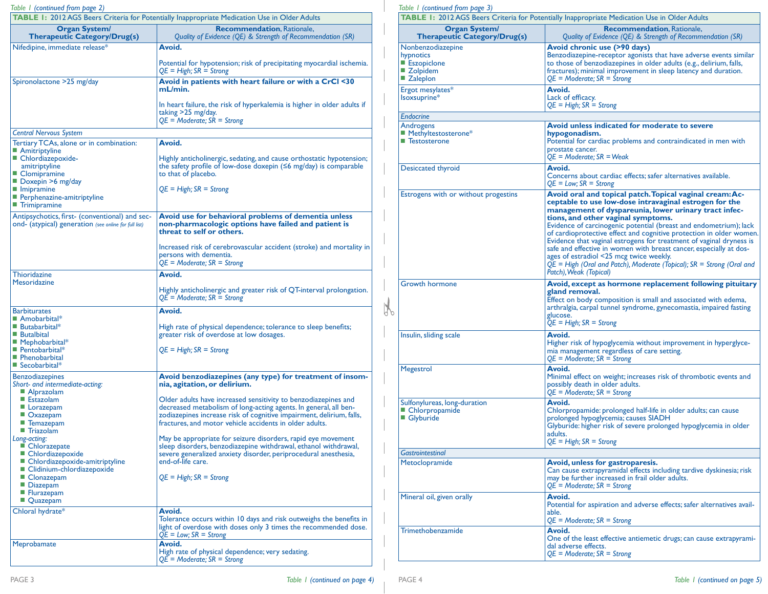| Table 1 (continued from page 2)                                                                         |                                                                                                                                                                                                                                                                       | Table 1 (continued from page 3)                                    |
|---------------------------------------------------------------------------------------------------------|-----------------------------------------------------------------------------------------------------------------------------------------------------------------------------------------------------------------------------------------------------------------------|--------------------------------------------------------------------|
|                                                                                                         | TABLE 1: 2012 AGS Beers Criteria for Potentially Inappropriate Medication Use in Older Adults                                                                                                                                                                         | <b>TABLE 1: 2012 AGS Beers</b>                                     |
| <b>Organ System/</b><br><b>Therapeutic Category/Drug(s)</b>                                             | <b>Recommendation, Rationale,</b><br>Quality of Evidence (QE) & Strength of Recommendation (SR)                                                                                                                                                                       | <b>Organ Syster</b><br><b>Therapeutic Categor</b>                  |
| Nifedipine, immediate release*                                                                          | Avoid.<br>Potential for hypotension; risk of precipitating myocardial ischemia.<br>$QE = High; SR = Strong$                                                                                                                                                           | Nonbenzodiazepine<br>hypnotics<br><b>Eszopicione</b><br>■ Zolpidem |
| Spironolactone >25 mg/day                                                                               | Avoid in patients with heart failure or with a CrCl <30<br>mL/min.<br>In heart failure, the risk of hyperkalemia is higher in older adults if<br>taking >25 mg/day.<br>$QE = Moderate; SR = Strong$                                                                   | ■ Zaleplon<br>Ergot mesylates*<br>Isoxsuprine*<br><b>Endocrine</b> |
| <b>Central Nervous System</b>                                                                           |                                                                                                                                                                                                                                                                       | Androgens<br>Methyltestosterone*                                   |
| Tertiary TCAs, alone or in combination:<br>■ Amitriptyline<br>Chlordiazepoxide-<br>amitriptyline        | Avoid.<br>Highly anticholinergic, sedating, and cause orthostatic hypotension;<br>the safety profile of low-dose doxepin $(56 \text{ mg/day})$ is comparable                                                                                                          | ■ Testosterone                                                     |
| ■ Clomipramine<br>Doxepin >6 mg/day                                                                     | to that of placebo.                                                                                                                                                                                                                                                   | <b>Desiccated thyroid</b>                                          |
| Imipramine<br>Perphenazine-amitriptyline<br><b>Trimipramine</b>                                         | $QE = High; SR = Strong$                                                                                                                                                                                                                                              | Estrogens with or without pr                                       |
| Antipsychotics, first- (conventional) and sec-<br>ond- (atypical) generation (see online for full list) | Avoid use for behavioral problems of dementia unless<br>non-pharmacologic options have failed and patient is<br>threat to self or others.                                                                                                                             |                                                                    |
|                                                                                                         | Increased risk of cerebrovascular accident (stroke) and mortality in<br>persons with dementia.<br>$QE = Moderate; SR = Strong$                                                                                                                                        |                                                                    |
| <b>Thioridazine</b>                                                                                     | Avoid.                                                                                                                                                                                                                                                                |                                                                    |
| Mesoridazine                                                                                            | Highly anticholinergic and greater risk of QT-interval prolongation.<br>$QE = Moderate; SR = Strong$                                                                                                                                                                  | <b>Growth hormone</b>                                              |
| <b>Barbiturates</b><br>■ Amobarbital*                                                                   | Avoid.                                                                                                                                                                                                                                                                | ď                                                                  |
| $\blacksquare$ Butabarbital*<br>■ Butalbital<br>$\blacksquare$ Mephobarbital*<br>Pentobarbital*         | High rate of physical dependence; tolerance to sleep benefits;<br>greater risk of overdose at low dosages.<br>$QE = High; SR = Strong$                                                                                                                                | Insulin, sliding scale                                             |
| Phenobarbital<br>■ Secobarbital*                                                                        |                                                                                                                                                                                                                                                                       | Megestrol                                                          |
| <b>Benzodiazepines</b><br>Short- and intermediate-acting:<br>Alprazolam                                 | Avoid benzodiazepines (any type) for treatment of insom-<br>nia, agitation, or delirium.                                                                                                                                                                              |                                                                    |
| Estazolam<br>Lorazepam<br>■ Oxazepam<br>$\blacksquare$ Temazepam<br>■ Triazolam                         | Older adults have increased sensitivity to benzodiazepines and<br>decreased metabolism of long-acting agents. In general, all ben-<br>zodiazepines increase risk of cognitive impairment, delirium, falls,<br>fractures, and motor vehicle accidents in older adults. | Sulfonylureas, long-duration<br>Chlorpropamide<br>Glyburide        |
| Long-acting:<br>■ Chlorazepate<br>Chlordiazepoxide                                                      | May be appropriate for seizure disorders, rapid eye movement<br>sleep disorders, benzodiazepine withdrawal, ethanol withdrawal,<br>severe generalized anxiety disorder, periprocedural anesthesia,                                                                    | <b>Gastrointestinal</b>                                            |
| ■ Chlordiazepoxide-amitriptyline<br>■ Clidinium-chlordiazepoxide<br>■ Clonazepam                        | end-of-life care.<br>$QE = High; SR = Strong$                                                                                                                                                                                                                         | Metoclopramide                                                     |
| ■ Diazepam<br>■ Flurazepam<br>■ Quazepam                                                                |                                                                                                                                                                                                                                                                       | Mineral oil, given orally                                          |
| Chloral hydrate*                                                                                        | Avoid.<br>Tolerance occurs within 10 days and risk outweighs the benefits in<br>light of overdose with doses only 3 times the recommended dose.<br>$QE = Low; SR = Strong$                                                                                            | Trimethobenzamide                                                  |
| Meprobamate                                                                                             | Avoid.<br>High rate of physical dependence; very sedating.<br>$QE = Moderate; SR = Strong$                                                                                                                                                                            |                                                                    |

| TABLE 1: 2012 AGS Beers Criteria for Potentially Inappropriate Medication Use in Older Adults                                                                                                                                                                                                                                                                                                                                                                                                                                                                                                                                                                |
|--------------------------------------------------------------------------------------------------------------------------------------------------------------------------------------------------------------------------------------------------------------------------------------------------------------------------------------------------------------------------------------------------------------------------------------------------------------------------------------------------------------------------------------------------------------------------------------------------------------------------------------------------------------|
| <b>Recommendation, Rationale,</b><br>Quality of Evidence (QE) & Strength of Recommendation (SR)                                                                                                                                                                                                                                                                                                                                                                                                                                                                                                                                                              |
| Avoid chronic use (>90 days)<br>Benzodiazepine-receptor agonists that have adverse events similar<br>to those of benzodiazepines in older adults (e.g., delirium, falls,<br>fractures); minimal improvement in sleep latency and duration.<br>$QE = Moderate; SR = Strong$                                                                                                                                                                                                                                                                                                                                                                                   |
| Avoid.<br>Lack of efficacy.<br>$QE = High; SR = Strong$                                                                                                                                                                                                                                                                                                                                                                                                                                                                                                                                                                                                      |
|                                                                                                                                                                                                                                                                                                                                                                                                                                                                                                                                                                                                                                                              |
| Avoid unless indicated for moderate to severe<br>hypogonadism.<br>Potential for cardiac problems and contraindicated in men with<br>prostate cancer.<br>$QE = Moderate; SR = Weak$                                                                                                                                                                                                                                                                                                                                                                                                                                                                           |
| Avoid.<br>Concerns about cardiac effects; safer alternatives available.<br>$QE = Low; SR = Strong$                                                                                                                                                                                                                                                                                                                                                                                                                                                                                                                                                           |
| Avoid oral and topical patch. Topical vaginal cream: Ac-<br>ceptable to use low-dose intravaginal estrogen for the<br>management of dyspareunia, lower urinary tract infec-<br>tions, and other vaginal symptoms.<br>Evidence of carcinogenic potential (breast and endometrium); lack<br>of cardioprotective effect and cognitive protection in older women.<br>Evidence that vaginal estrogens for treatment of vaginal dryness is<br>safe and effective in women with breast cancer, especially at dos-<br>ages of estradiol <25 mcg twice weekly.<br>$QE = High$ (Oral and Patch), Moderate (Topical); $SR =$ Strong (Oral and<br>Patch), Weak (Topical) |
| Avoid, except as hormone replacement following pituitary<br>gland removal.<br>Effect on body composition is small and associated with edema,<br>arthralgia, carpal tunnel syndrome, gynecomastia, impaired fasting<br>glucose.<br>$QE = High; SR = Strong$                                                                                                                                                                                                                                                                                                                                                                                                   |
| Avoid.<br>Higher risk of hypoglycemia without improvement in hyperglyce-<br>mia management regardless of care setting.<br>$QE = Moderate; SR = Strong$                                                                                                                                                                                                                                                                                                                                                                                                                                                                                                       |
| Avoid.<br>Minimal effect on weight; increases risk of thrombotic events and<br>possibly death in older adults.<br>$QE = Moderate; SR = Strong$                                                                                                                                                                                                                                                                                                                                                                                                                                                                                                               |
| Avoid.<br>Chlorpropamide: prolonged half-life in older adults; can cause<br>prolonged hypoglycemia; causes SIADH<br>Glyburide: higher risk of severe prolonged hypoglycemia in older<br>adults.<br>$QE = High; SR = Strong$                                                                                                                                                                                                                                                                                                                                                                                                                                  |
|                                                                                                                                                                                                                                                                                                                                                                                                                                                                                                                                                                                                                                                              |
| Avoid, unless for gastroparesis.<br>Can cause extrapyramidal effects including tardive dyskinesia; risk<br>may be further increased in frail older adults.<br>$QE = Moderate; SR = Strong$                                                                                                                                                                                                                                                                                                                                                                                                                                                                   |
| Avoid.<br>Potential for aspiration and adverse effects; safer alternatives avail-<br>able.<br>$QE = Moderate; SR = Strong$                                                                                                                                                                                                                                                                                                                                                                                                                                                                                                                                   |
| Avoid.<br>One of the least effective antiemetic drugs; can cause extrapyrami-<br>dal adverse effects.<br>$QE = Moderate; SR = Strong$                                                                                                                                                                                                                                                                                                                                                                                                                                                                                                                        |
|                                                                                                                                                                                                                                                                                                                                                                                                                                                                                                                                                                                                                                                              |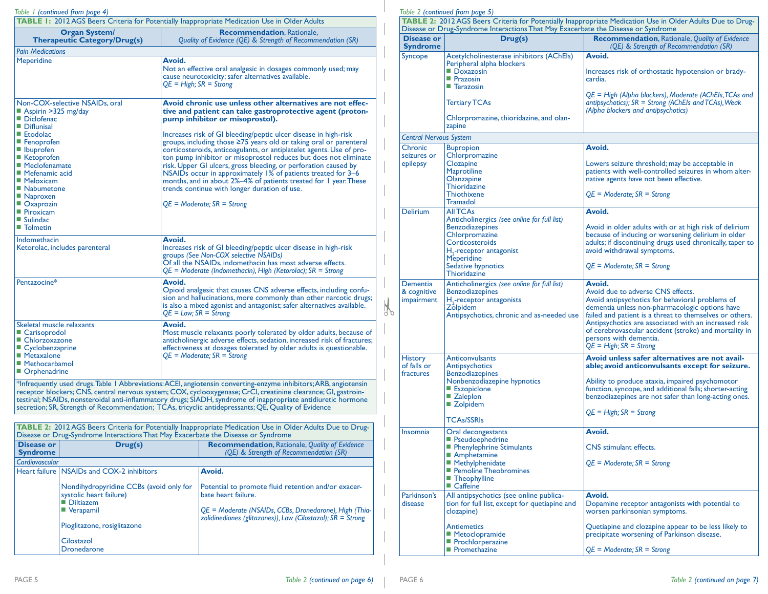## *Table 1 (continued from page 4)*

|                                                                                                                                                                                                                                                                                                      | TABLE 1: 2012 AGS Beers Criteria for Potentially Inappropriate Medication Use in Older Adults                                                                                                                                                                                                                                                                                                                                                                                                                                                                                                                                                                                                                                                |  |
|------------------------------------------------------------------------------------------------------------------------------------------------------------------------------------------------------------------------------------------------------------------------------------------------------|----------------------------------------------------------------------------------------------------------------------------------------------------------------------------------------------------------------------------------------------------------------------------------------------------------------------------------------------------------------------------------------------------------------------------------------------------------------------------------------------------------------------------------------------------------------------------------------------------------------------------------------------------------------------------------------------------------------------------------------------|--|
| <b>Organ System/</b><br><b>Therapeutic Category/Drug(s)</b>                                                                                                                                                                                                                                          | <b>Recommendation, Rationale,</b><br>Quality of Evidence (QE) & Strength of Recommendation (SR)                                                                                                                                                                                                                                                                                                                                                                                                                                                                                                                                                                                                                                              |  |
| <b>Pain Medications</b>                                                                                                                                                                                                                                                                              |                                                                                                                                                                                                                                                                                                                                                                                                                                                                                                                                                                                                                                                                                                                                              |  |
| Meperidine                                                                                                                                                                                                                                                                                           | Avoid.<br>Not an effective oral analgesic in dosages commonly used; may<br>cause neurotoxicity; safer alternatives available.<br>$QE = High; SR = Strong$                                                                                                                                                                                                                                                                                                                                                                                                                                                                                                                                                                                    |  |
| Non-COX-selective NSAIDs, oral<br>Aspirin > 325 mg/day<br>Diclofenac<br>Diflunisal<br>Etodolac<br>Fenoprofen<br><b>IDuprofen</b><br>■ Ketoprofen<br>■ Meclofenamate<br>■ Mefenamic acid<br>■ Meloxicam<br>■ Nabumetone<br>Naproxen<br><b>Oxaprozin</b><br><b>Piroxicam</b><br>■ Sulindac<br>Tolmetin | Avoid chronic use unless other alternatives are not effec-<br>tive and patient can take gastroprotective agent (proton-<br>pump inhibitor or misoprostol).<br>Increases risk of GI bleeding/peptic ulcer disease in high-risk<br>groups, including those $\geq$ 75 years old or taking oral or parenteral<br>corticosteroids, anticoagulants, or antiplatelet agents. Use of pro-<br>ton pump inhibitor or misoprostol reduces but does not eliminate<br>risk. Upper GI ulcers, gross bleeding, or perforation caused by<br>NSAIDs occur in approximately 1% of patients treated for 3-6<br>months, and in about 2%-4% of patients treated for 1 year. These<br>trends continue with longer duration of use.<br>$QE = Moderate; SR = Strong$ |  |
| Indomethacin<br>Ketorolac, includes parenteral                                                                                                                                                                                                                                                       | Avoid.<br>Increases risk of GI bleeding/peptic ulcer disease in high-risk<br>groups (See Non-COX selective NSAIDs)<br>Of all the NSAIDs, indomethacin has most adverse effects.<br>QE = Moderate (Indomethacin), High (Ketorolac); SR = Strong                                                                                                                                                                                                                                                                                                                                                                                                                                                                                               |  |
| Pentazocine*                                                                                                                                                                                                                                                                                         | Avoid.<br>Opioid analgesic that causes CNS adverse effects, including confu-<br>sion and hallucinations, more commonly than other narcotic drugs;<br>is also a mixed agonist and antagonist; safer alternatives available.<br>$QE = Low$ ; $SR = Strong$                                                                                                                                                                                                                                                                                                                                                                                                                                                                                     |  |
| Skeletal muscle relaxants<br>Carisoprodol<br>■ Chlorzoxazone<br>Cyclobenzaprine<br>Metaxalone<br>■ Methocarbamol<br>Orphenadrine                                                                                                                                                                     | Avoid.<br>Most muscle relaxants poorly tolerated by older adults, because of<br>anticholinergic adverse effects, sedation, increased risk of fractures;<br>effectiveness at dosages tolerated by older adults is questionable.<br>$QE = Moderate; SR = Strong$<br>*Infrequently used drugs. Table 1 Abbreviations: ACEI, angiotensin converting-enzyme inhibitors; ARB, angiotensin                                                                                                                                                                                                                                                                                                                                                          |  |

receptor blockers; CNS, central nervous system; COX, cyclooxygenase; CrCl, creatinine clearance; GI, gastrointestinal; NSAIDs, nonsteroidal anti-inflammatory drugs; SIADH, syndrome of inappropriate antidiuretic hormone secretion; SR, Strength of Recommendation; TCAs, tricyclic antidepressants; QE, Quality of Evidence

**TABLE 2:** 2012 AGS Beers Criteria for Potentially Inappropriate Medication Use in Older Adults Due to Drug-Disease or Drug-Syndrome Interactions That May Exacerbate the Disease or Syndrome **Disease or Syndrome Drug(s) Recommendation**, Rationale, *Quality of Evidence (QE) & Strength of Recommendation (SR) Cardiovascular* Heart failure NSAIDs and COX-2 inhibitors Nondihydropyridine CCBs (avoid only for systolic heart failure) Diltiazem ■ Verapamil Pioglitazone, rosiglitazone Cilostazol Dronedarone **Avoid.** Potential to promote fluid retention and/or exacerbate heart failure. *QE = Moderate (NSAIDs, CCBs, Dronedarone), High (Thiazolidinediones (glitazones)), Low (Cilostazol); SR = Strong*

|                                            | Table 2 (continued from page 5)<br>Disease or Drug-Syndrome Interactions That May Exacerbate the Disease or Syndrome                                                                                                        | TABLE 2: 2012 AGS Beers Criteria for Potentially Inappropriate Medication Use in Older Adults Due to Drug-                                                                                                                                                                                                                                                                         |
|--------------------------------------------|-----------------------------------------------------------------------------------------------------------------------------------------------------------------------------------------------------------------------------|------------------------------------------------------------------------------------------------------------------------------------------------------------------------------------------------------------------------------------------------------------------------------------------------------------------------------------------------------------------------------------|
| <b>Disease or</b><br><b>Syndrome</b>       | Drug(s)                                                                                                                                                                                                                     | <b>Recommendation, Rationale, Quality of Evidence</b><br>(QE) & Strength of Recommendation (SR)                                                                                                                                                                                                                                                                                    |
| Syncope                                    | Acetylcholinesterase inhibitors (AChEls)<br>Peripheral alpha blockers<br>Doxazosin<br><b>Prazosin</b><br><b>Terazosin</b><br><b>Tertiary TCAs</b><br>Chlorpromazine, thioridazine, and olan-                                | Avoid.<br>Increases risk of orthostatic hypotension or brady-<br>cardia.<br>QE = High (Alpha blockers), Moderate (AChEls,TCAs and<br>antipsychotics); $SR =$ Strong (AChEIs and TCAs), Weak<br>(Alpha blockers and antipsychotics)                                                                                                                                                 |
|                                            | zapine                                                                                                                                                                                                                      |                                                                                                                                                                                                                                                                                                                                                                                    |
| <b>Central Nervous System</b>              |                                                                                                                                                                                                                             |                                                                                                                                                                                                                                                                                                                                                                                    |
| Chronic<br>seizures or<br>epilepsy         | <b>Bupropion</b><br>Chlorpromazine<br>Clozapine<br>Maprotiline<br>Olanzapine<br><b>Thioridazine</b>                                                                                                                         | Avoid.<br>Lowers seizure threshold; may be acceptable in<br>patients with well-controlled seizures in whom alter-<br>native agents have not been effective.                                                                                                                                                                                                                        |
|                                            | <b>Thiothixene</b><br>Tramadol                                                                                                                                                                                              | $QE = Moderate; SR = Strong$                                                                                                                                                                                                                                                                                                                                                       |
| <b>Delirium</b>                            | <b>AIITCAs</b><br>Anticholinergics (see online for full list)<br><b>Benzodiazepines</b><br>Chlorpromazine<br>Corticosteroids<br>$H2$ -receptor antagonist<br><b>Meperidine</b><br>Sedative hypnotics<br><b>Thioridazine</b> | Avoid.<br>Avoid in older adults with or at high risk of delirium<br>because of inducing or worsening delirium in older<br>adults; if discontinuing drugs used chronically, taper to<br>avoid withdrawal symptoms.<br>$QE = Moderate; SR = Strong$                                                                                                                                  |
| Dementia<br>& cognitive<br>impairment      | Anticholinergics (see online for full list)<br><b>Benzodiazepines</b><br>H <sub>2</sub> -receptor antagonists<br>Zolpidem<br>Antipsychotics, chronic and as-needed use                                                      | Avoid.<br>Avoid due to adverse CNS effects.<br>Avoid antipsychotics for behavioral problems of<br>dementia unless non-pharmacologic options have<br>failed and patient is a threat to themselves or others.<br>Antipsychotics are associated with an increased risk<br>of cerebrovascular accident (stroke) and mortality in<br>persons with dementia.<br>$QE = High; SR = Strong$ |
| <b>History</b><br>of falls or<br>fractures | <b>Anticonvulsants</b><br><b>Antipsychotics</b><br><b>Benzodiazepines</b><br>Nonbenzodiazepine hypnotics<br><b>Eszopicione</b><br>■ Zaleplon<br>Zolpidem<br><b>TCAs/SSRIs</b>                                               | Avoid unless safer alternatives are not avail-<br>able; avoid anticonvulsants except for seizure.<br>Ability to produce ataxia, impaired psychomotor<br>function, syncope, and additional falls; shorter-acting<br>benzodiazepines are not safer than long-acting ones.<br>$QE = High; SR = Strong$                                                                                |
| <b>Insomnia</b>                            | Oral decongestants<br>Pseudoephedrine<br>Phenylephrine Stimulants<br>Amphetamine<br>Methylphenidate<br>Pemoline Theobromines<br>Theophylline<br>Caffeine                                                                    | Avoid.<br>CNS stimulant effects.<br>$QE = Moderate; SR = Strong$                                                                                                                                                                                                                                                                                                                   |
| Parkinson's<br>disease                     | All antipsychotics (see online publica-<br>tion for full list, except for quetiapine and<br>clozapine)<br><b>Antiemetics</b><br>■ Metoclopramide<br>Prochlorperazine<br>Promethazine                                        | Avoid.<br>Dopamine receptor antagonists with potential to<br>worsen parkinsonian symptoms.<br>Quetiapine and clozapine appear to be less likely to<br>precipitate worsening of Parkinson disease.<br>$QE = Moderate; SR = Strong$                                                                                                                                                  |

PP.